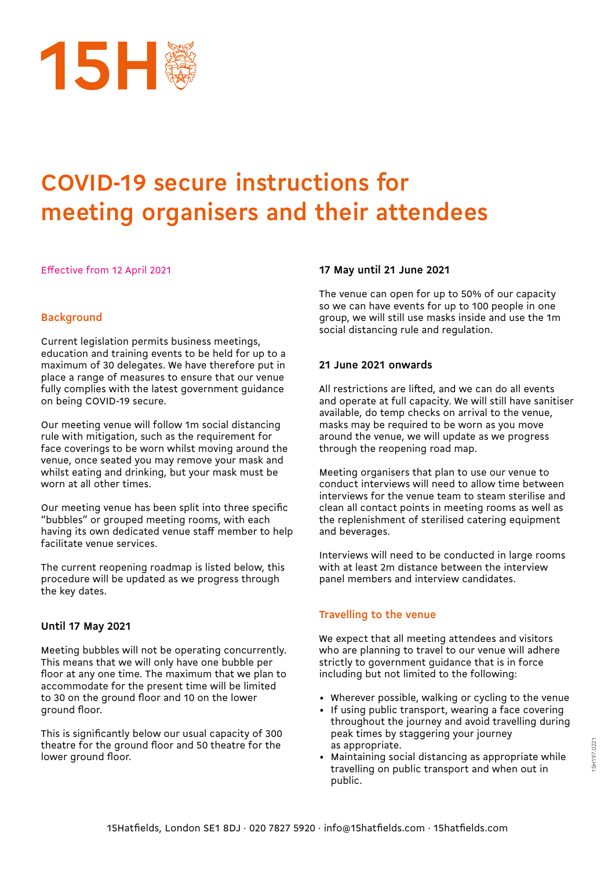

Effective from 12 April 2021

### **Background**

Current legislation permits business meetings, education and training events to be held for up to a maximum of 30 delegates. We have therefore put in place a range of measures to ensure that our venue fully complies with the latest government guidance on being COVID-19 secure.

Our meeting venue will follow 1m social distancing rule with mitigation, such as the requirement for face coverings to be worn whilst moving around the venue, once seated you may remove your mask and whilst eating and drinking, but your mask must be worn at all other times.

Our meeting venue has been split into three specific "bubbles" or grouped meeting rooms, with each having its own dedicated venue staff member to help facilitate venue services.

The current reopening roadmap is listed below, this procedure will be updated as we progress through the key dates.

### **Until 17 May 2021**

Meeting bubbles will not be operating concurrently. This means that we will only have one bubble per floor at any one time. The maximum that we plan to accommodate for the present time will be limited to 30 on the ground floor and 10 on the lower ground floor.

This is significantly below our usual capacity of 300 theatre for the ground floor and 50 theatre for the lower ground floor.

#### **17 May until 21 June 2021**

The venue can open for up to 50% of our capacity so we can have events for up to 100 people in one group, we will still use masks inside and use the 1m social distancing rule and regulation.

#### **21 June 2021 onwards**

All restrictions are lifted, and we can do all events and operate at full capacity. We will still have sanitiser available, do temp checks on arrival to the venue, masks may be required to be worn as you move around the venue, we will update as we progress through the reopening road map.

Meeting organisers that plan to use our venue to conduct interviews will need to allow time between interviews for the venue team to steam sterilise and clean all contact points in meeting rooms as well as the replenishment of sterilised catering equipment and beverages.

Interviews will need to be conducted in large rooms with at least 2m distance between the interview panel members and interview candidates.

### **Travelling to the venue**

We expect that all meeting attendees and visitors who are planning to travel to our venue will adhere strictly to government guidance that is in force including but not limited to the following:

- Wherever possible, walking or cycling to the venue
- If using public transport, wearing a face covering throughout the journey and avoid travelling during peak times by staggering your journey as appropriate.
- Maintaining social distancing as appropriate while travelling on public transport and when out in public.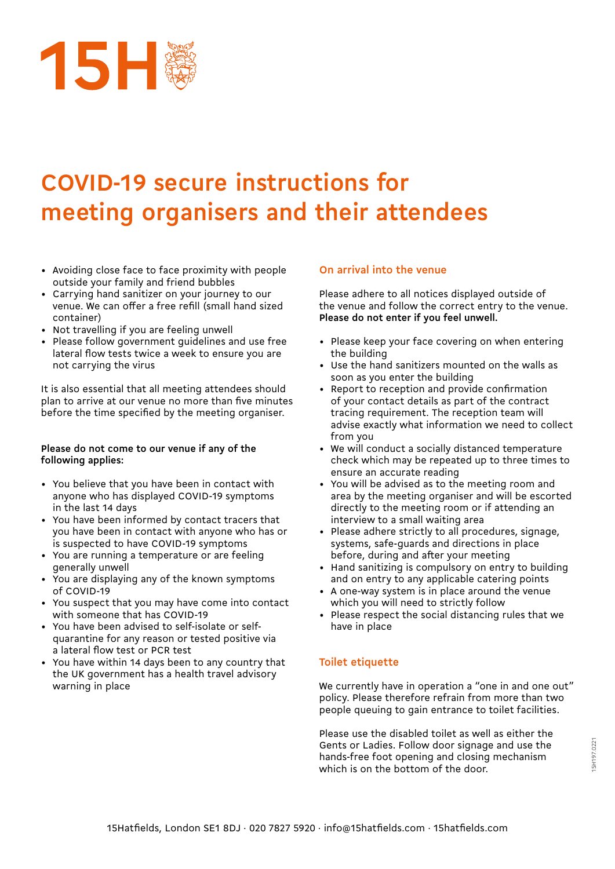

- Avoiding close face to face proximity with people outside your family and friend bubbles
- Carrying hand sanitizer on your journey to our venue. We can offer a free refill (small hand sized container)
- Not travelling if you are feeling unwell
- Please follow government guidelines and use free lateral flow tests twice a week to ensure you are not carrying the virus

It is also essential that all meeting attendees should plan to arrive at our venue no more than five minutes before the time specified by the meeting organiser.

#### **Please do not come to our venue if any of the following applies:**

- You believe that you have been in contact with anyone who has displayed COVID-19 symptoms in the last 14 days
- You have been informed by contact tracers that you have been in contact with anyone who has or is suspected to have COVID-19 symptoms
- You are running a temperature or are feeling generally unwell
- You are displaying any of the known symptoms of COVID-19
- You suspect that you may have come into contact with someone that has COVID-19
- You have been advised to self-isolate or selfquarantine for any reason or tested positive via a lateral flow test or PCR test
- You have within 14 days been to any country that the UK government has a health travel advisory warning in place

### **On arrival into the venue**

Please adhere to all notices displayed outside of the venue and follow the correct entry to the venue. **Please do not enter if you feel unwell.**

- Please keep your face covering on when entering the building
- Use the hand sanitizers mounted on the walls as soon as you enter the building
- Report to reception and provide confirmation of your contact details as part of the contract tracing requirement. The reception team will advise exactly what information we need to collect from you
- We will conduct a socially distanced temperature check which may be repeated up to three times to ensure an accurate reading
- You will be advised as to the meeting room and area by the meeting organiser and will be escorted directly to the meeting room or if attending an interview to a small waiting area
- Please adhere strictly to all procedures, signage, systems, safe-guards and directions in place before, during and after your meeting
- Hand sanitizing is compulsory on entry to building and on entry to any applicable catering points
- A one-way system is in place around the venue which you will need to strictly follow
- Please respect the social distancing rules that we have in place

### **Toilet etiquette**

We currently have in operation a "one in and one out" policy. Please therefore refrain from more than two people queuing to gain entrance to toilet facilities.

Please use the disabled toilet as well as either the Gents or Ladies. Follow door signage and use the hands-free foot opening and closing mechanism which is on the bottom of the door.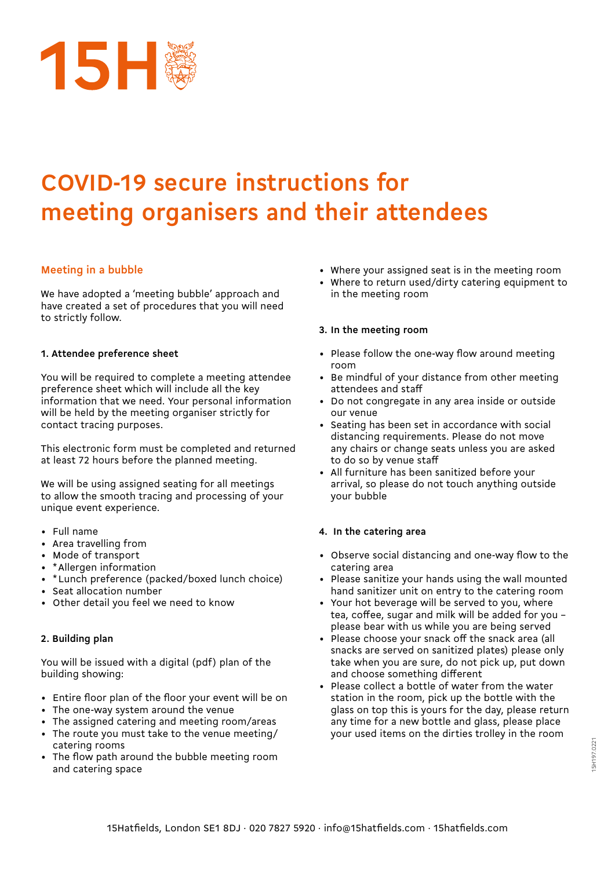

### **Meeting in a bubble**

We have adopted a 'meeting bubble' approach and have created a set of procedures that you will need to strictly follow.

#### **1. Attendee preference sheet**

You will be required to complete a meeting attendee preference sheet which will include all the key information that we need. Your personal information will be held by the meeting organiser strictly for contact tracing purposes.

This electronic form must be completed and returned at least 72 hours before the planned meeting.

We will be using assigned seating for all meetings to allow the smooth tracing and processing of your unique event experience.

- Full name
- Area travelling from
- Mode of transport
- \* Allergen information
- \* Lunch preference (packed/boxed lunch choice)
- Seat allocation number
- Other detail you feel we need to know

### **2. Building plan**

You will be issued with a digital (pdf) plan of the building showing:

- Entire floor plan of the floor your event will be on
- The one-way system around the venue
- The assigned catering and meeting room/areas
- The route you must take to the venue meeting/ catering rooms
- The flow path around the bubble meeting room and catering space
- Where your assigned seat is in the meeting room
- Where to return used/dirty catering equipment to in the meeting room

#### **3. In the meeting room**

- Please follow the one-way flow around meeting room
- Be mindful of your distance from other meeting attendees and staff
- Do not congregate in any area inside or outside our venue
- Seating has been set in accordance with social distancing requirements. Please do not move any chairs or change seats unless you are asked to do so by venue staff
- All furniture has been sanitized before your arrival, so please do not touch anything outside your bubble

### **4. In the catering area**

- Observe social distancing and one-way flow to the catering area
- Please sanitize your hands using the wall mounted hand sanitizer unit on entry to the catering room
- Your hot beverage will be served to you, where tea, coffee, sugar and milk will be added for you – please bear with us while you are being served
- Please choose your snack off the snack area (all snacks are served on sanitized plates) please only take when you are sure, do not pick up, put down and choose something different
- Please collect a bottle of water from the water station in the room, pick up the bottle with the glass on top this is yours for the day, please return any time for a new bottle and glass, please place your used items on the dirties trolley in the room